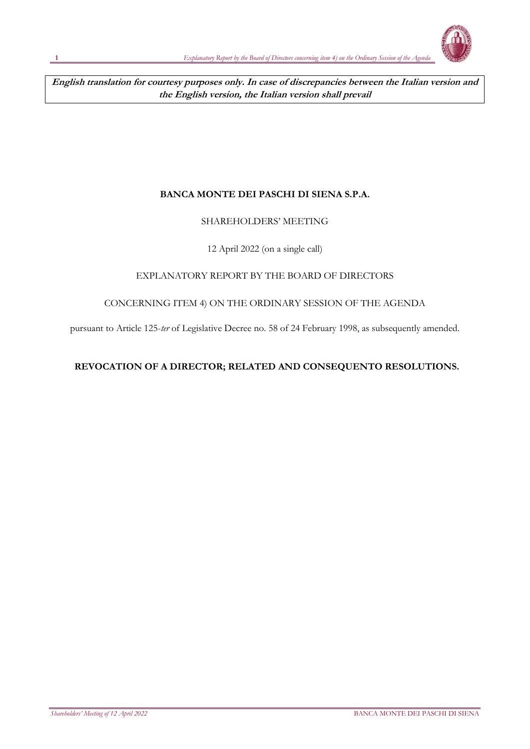

**English translation for courtesy purposes only. In case of discrepancies between the Italian version and the English version, the Italian version shall prevail**

## **BANCA MONTE DEI PASCHI DI SIENA S.P.A.**

#### SHAREHOLDERS' MEETING

### 12 April 2022 (on a single call)

#### EXPLANATORY REPORT BY THE BOARD OF DIRECTORS

#### CONCERNING ITEM 4) ON THE ORDINARY SESSION OF THE AGENDA

pursuant to Article 125-*ter* of Legislative Decree no. 58 of 24 February 1998, as subsequently amended.

#### **REVOCATION OF A DIRECTOR; RELATED AND CONSEQUENTO RESOLUTIONS.**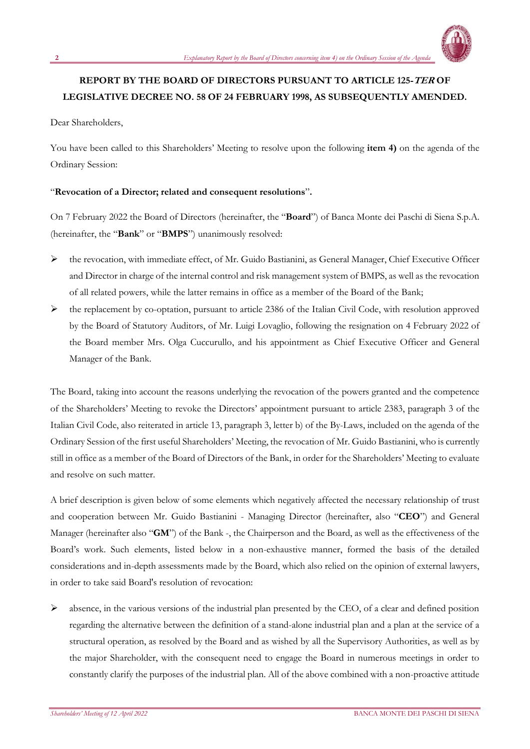

# **REPORT BY THE BOARD OF DIRECTORS PURSUANT TO ARTICLE 125-TER OF LEGISLATIVE DECREE NO. 58 OF 24 FEBRUARY 1998, AS SUBSEQUENTLY AMENDED.**

Dear Shareholders,

You have been called to this Shareholders' Meeting to resolve upon the following **item 4)** on the agenda of the Ordinary Session:

#### "**Revocation of a Director; related and consequent resolutions**"**.**

On 7 February 2022 the Board of Directors (hereinafter, the "**Board**") of Banca Monte dei Paschi di Siena S.p.A. (hereinafter, the "**Bank**" or "**BMPS**") unanimously resolved:

- ➢ the revocation, with immediate effect, of Mr. Guido Bastianini, as General Manager, Chief Executive Officer and Director in charge of the internal control and risk management system of BMPS, as well as the revocation of all related powers, while the latter remains in office as a member of the Board of the Bank;
- ➢ the replacement by co-optation, pursuant to article 2386 of the Italian Civil Code, with resolution approved by the Board of Statutory Auditors, of Mr. Luigi Lovaglio, following the resignation on 4 February 2022 of the Board member Mrs. Olga Cuccurullo, and his appointment as Chief Executive Officer and General Manager of the Bank.

The Board, taking into account the reasons underlying the revocation of the powers granted and the competence of the Shareholders' Meeting to revoke the Directors' appointment pursuant to article 2383, paragraph 3 of the Italian Civil Code, also reiterated in article 13, paragraph 3, letter b) of the By-Laws, included on the agenda of the Ordinary Session of the first useful Shareholders' Meeting, the revocation of Mr. Guido Bastianini, who is currently still in office as a member of the Board of Directors of the Bank, in order for the Shareholders' Meeting to evaluate and resolve on such matter.

A brief description is given below of some elements which negatively affected the necessary relationship of trust and cooperation between Mr. Guido Bastianini - Managing Director (hereinafter, also "**CEO**") and General Manager (hereinafter also "**GM**") of the Bank -, the Chairperson and the Board, as well as the effectiveness of the Board's work. Such elements, listed below in a non-exhaustive manner, formed the basis of the detailed considerations and in-depth assessments made by the Board, which also relied on the opinion of external lawyers, in order to take said Board's resolution of revocation:

 $\triangleright$  absence, in the various versions of the industrial plan presented by the CEO, of a clear and defined position regarding the alternative between the definition of a stand-alone industrial plan and a plan at the service of a structural operation, as resolved by the Board and as wished by all the Supervisory Authorities, as well as by the major Shareholder, with the consequent need to engage the Board in numerous meetings in order to constantly clarify the purposes of the industrial plan. All of the above combined with a non-proactive attitude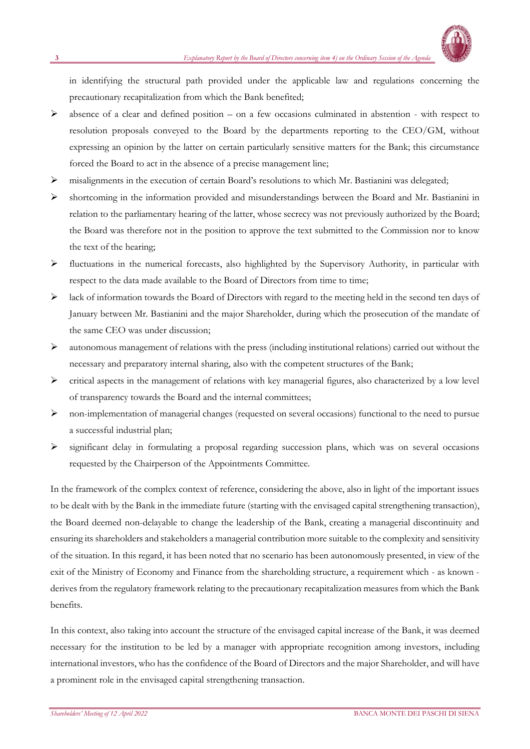

in identifying the structural path provided under the applicable law and regulations concerning the precautionary recapitalization from which the Bank benefited;

- ➢ absence of a clear and defined position on a few occasions culminated in abstention with respect to resolution proposals conveyed to the Board by the departments reporting to the CEO/GM, without expressing an opinion by the latter on certain particularly sensitive matters for the Bank; this circumstance forced the Board to act in the absence of a precise management line;
- $\triangleright$  misalignments in the execution of certain Board's resolutions to which Mr. Bastianini was delegated;
- ➢ shortcoming in the information provided and misunderstandings between the Board and Mr. Bastianini in relation to the parliamentary hearing of the latter, whose secrecy was not previously authorized by the Board; the Board was therefore not in the position to approve the text submitted to the Commission nor to know the text of the hearing;
- ➢ fluctuations in the numerical forecasts, also highlighted by the Supervisory Authority, in particular with respect to the data made available to the Board of Directors from time to time;
- $\triangleright$  lack of information towards the Board of Directors with regard to the meeting held in the second ten days of January between Mr. Bastianini and the major Shareholder, during which the prosecution of the mandate of the same CEO was under discussion;
- $\triangleright$  autonomous management of relations with the press (including institutional relations) carried out without the necessary and preparatory internal sharing, also with the competent structures of the Bank;
- ➢ critical aspects in the management of relations with key managerial figures, also characterized by a low level of transparency towards the Board and the internal committees;
- ➢ non-implementation of managerial changes (requested on several occasions) functional to the need to pursue a successful industrial plan;
- ➢ significant delay in formulating a proposal regarding succession plans, which was on several occasions requested by the Chairperson of the Appointments Committee.

In the framework of the complex context of reference, considering the above, also in light of the important issues to be dealt with by the Bank in the immediate future (starting with the envisaged capital strengthening transaction), the Board deemed non-delayable to change the leadership of the Bank, creating a managerial discontinuity and ensuring its shareholders and stakeholders a managerial contribution more suitable to the complexity and sensitivity of the situation. In this regard, it has been noted that no scenario has been autonomously presented, in view of the exit of the Ministry of Economy and Finance from the shareholding structure, a requirement which - as known derives from the regulatory framework relating to the precautionary recapitalization measures from which the Bank benefits.

In this context, also taking into account the structure of the envisaged capital increase of the Bank, it was deemed necessary for the institution to be led by a manager with appropriate recognition among investors, including international investors, who has the confidence of the Board of Directors and the major Shareholder, and will have a prominent role in the envisaged capital strengthening transaction.